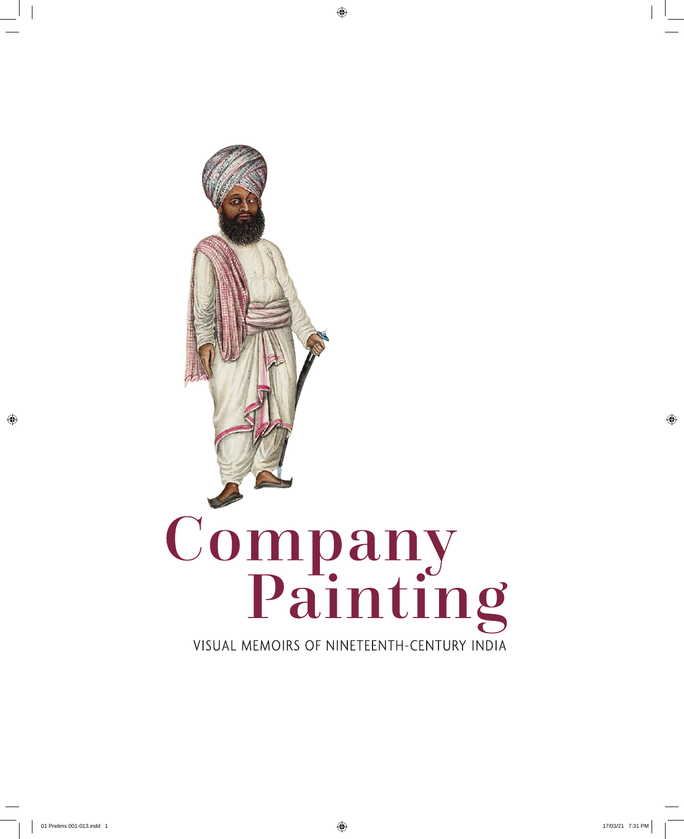

 $\bigoplus$ 

 $\bigoplus$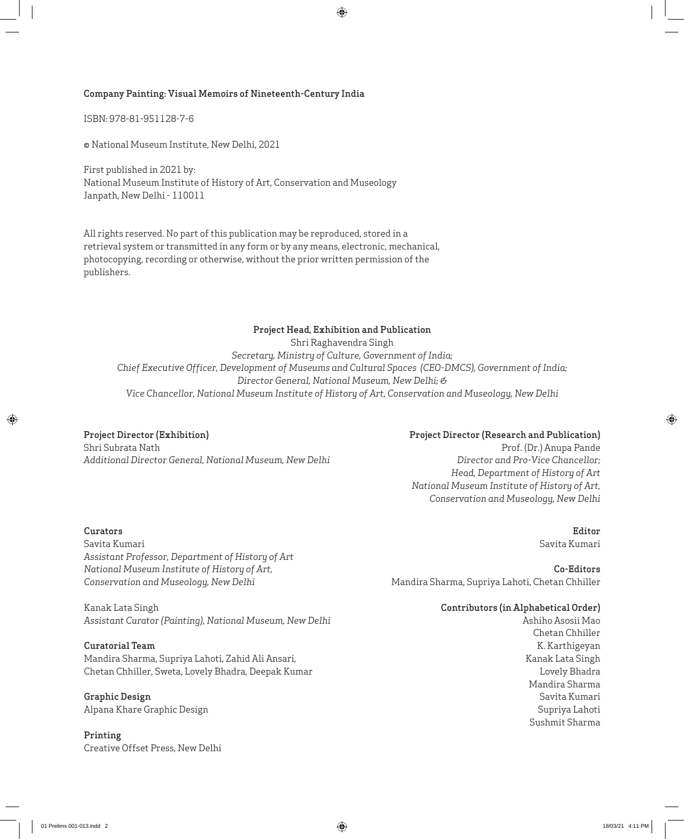#### Company Painting: Visual Memoirs of Nineteenth-Century India

ISBN: 978-81-951128-7-6

© National Museum Institute, New Delhi, 2021

First published in 2021 by: National Museum Institute of History of Art, Conservation and Museology Janpath, New Delhi - 110011

All rights reserved. No part of this publication may be reproduced, stored in a retrieval system or transmitted in any form or by any means, electronic, mechanical, photocopying, recording or otherwise, without the prior written permission of the publishers.

## Project Head, Exhibition and Publication Shri Raghavendra Singh *Secretary, Ministry of Culture, Government of India; Chief Executive Officer, Development of Museums and Cultural Spaces (CEO-DMCS), Government of India; Director General, National Museum, New Delhi; & Vice Chancellor, National Museum Institute of History of Art, Conservation and Museology, New Delhi*

 $\bigoplus$ 

Project Director (Exhibition) Shri Subrata Nath *Additional Director General, National Museum, New Delhi*

#### Project Director (Research and Publication)

Prof. (Dr.) Anupa Pande *Director and Pro-Vice Chancellor; Head, Department of History of Art National Museum Institute of History of Art, Conservation and Museology, New Delhi*

## Curators

 $\bigoplus$ 

Savita Kumari *Assistant Professor, Department of History of Art National Museum Institute of History of Art, Conservation and Museology, New Delhi*

Co-Editors Mandira Sharma, Supriya Lahoti, Chetan Chhiller

## Contributors (in Alphabetical Order)

Ashiho Asosii Mao Chetan Chhiller K. Karthigeyan Kanak Lata Singh Lovely Bhadra Mandira Sharma Savita Kumari Supriya Lahoti Sushmit Sharma

Kanak Lata Singh *Assistant Curator (Painting), National Museum, New Delhi* 

#### Curatorial Team

Mandira Sharma, Supriya Lahoti, Zahid Ali Ansari, Chetan Chhiller, Sweta, Lovely Bhadra, Deepak Kumar

### Graphic Design Alpana Khare Graphic Design

Printing Creative Offset Press, New Delhi

Editor Savita Kumari

⊕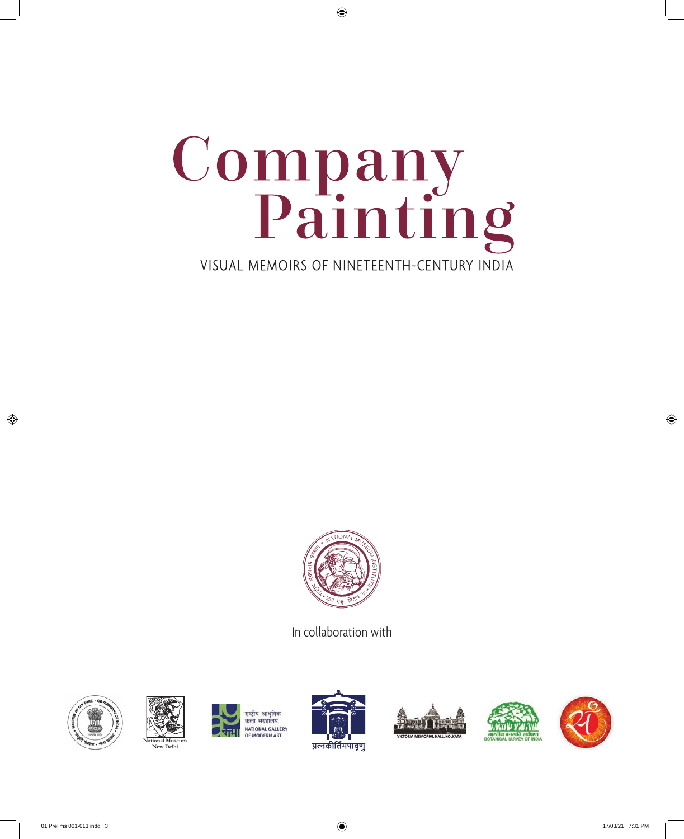

 $\bigoplus$ 



In collaboration with



 $\bigoplus$ 





राष्ट्रीय आधुनिक कला संग्रहालय **NATIONAL GALLERY** MODERN ART







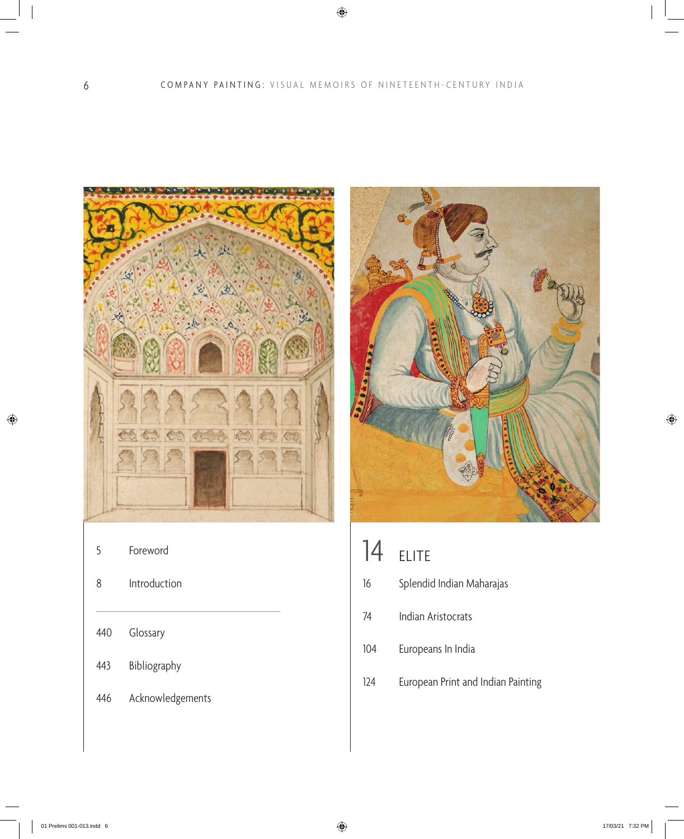$\bigoplus$ 



5 Foreword

| 8 | Introduction |
|---|--------------|
|   |              |

- 440 Glossary
- 443 Bibliography
- 446 Acknowledgements



- 16 Splendid Indian Maharajas
- 74 Indian Aristocrats
- 104 Europeans In India
- 124 European Print and Indian Painting

 $\bigoplus$